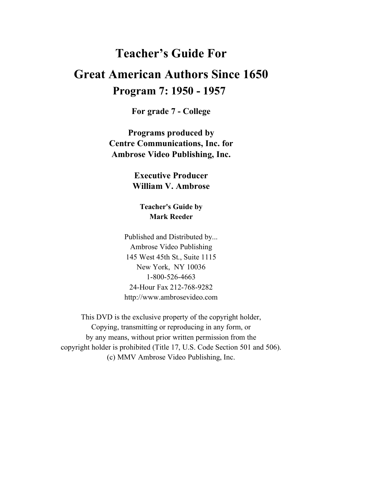# **Teacher's Guide For Great American Authors Since 1650**

# **Program 7: 1950 - 1957**

**For grade 7 - College**

**Programs produced by Centre Communications, Inc. for Ambrose Video Publishing, Inc.**

> **Executive Producer William V. Ambrose**

**Teacher's Guide by Mark Reeder**

Published and Distributed by... Ambrose Video Publishing 145 West 45th St., Suite 1115 New York, NY 10036 1-800-526-4663 24-Hour Fax 212-768-9282 http://www.ambrosevideo.com

This DVD is the exclusive property of the copyright holder, Copying, transmitting or reproducing in any form, or by any means, without prior written permission from the copyright holder is prohibited (Title 17, U.S. Code Section 501 and 506). (c) MMV Ambrose Video Publishing, Inc.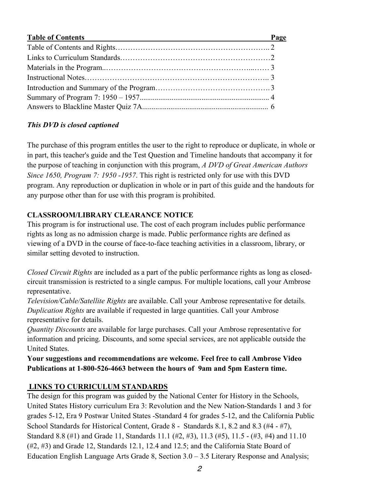| <b>Table of Contents</b> | Page |
|--------------------------|------|
|                          |      |
|                          |      |
|                          |      |
|                          |      |
|                          |      |
|                          |      |
|                          |      |

### *This DVD is closed captioned*

The purchase of this program entitles the user to the right to reproduce or duplicate, in whole or in part, this teacher's guide and the Test Question and Timeline handouts that accompany it for the purpose of teaching in conjunction with this program, *A DVD of Great American Authors Since 1650, Program 7: 1950 -1957*. This right is restricted only for use with this DVD program. Any reproduction or duplication in whole or in part of this guide and the handouts for any purpose other than for use with this program is prohibited.

### **CLASSROOM/LIBRARY CLEARANCE NOTICE**

This program is for instructional use. The cost of each program includes public performance rights as long as no admission charge is made. Public performance rights are defined as viewing of a DVD in the course of face-to-face teaching activities in a classroom, library, or similar setting devoted to instruction.

*Closed Circuit Rights* are included as a part of the public performance rights as long as closedcircuit transmission is restricted to a single campus. For multiple locations, call your Ambrose representative.

*Television/Cable/Satellite Rights* are available. Call your Ambrose representative for details. *Duplication Rights* are available if requested in large quantities. Call your Ambrose representative for details.

*Quantity Discounts* are available for large purchases. Call your Ambrose representative for information and pricing. Discounts, and some special services, are not applicable outside the United States.

**Your suggestions and recommendations are welcome. Feel free to call Ambrose Video Publications at 1-800-526-4663 between the hours of 9am and 5pm Eastern time.**

## **LINKS TO CURRICULUM STANDARDS**

The design for this program was guided by the National Center for History in the Schools, United States History curriculum Era 3: Revolution and the New Nation-Standards 1 and 3 for grades 5-12, Era 9 Postwar United States -Standard 4 for grades 5-12, and the California Public School Standards for Historical Content, Grade 8 - Standards 8.1, 8.2 and 8.3 (#4 - #7), Standard 8.8 (#1) and Grade 11, Standards 11.1 (#2, #3), 11.3 (#5), 11.5 - (#3, #4) and 11.10 (#2, #3) and Grade 12, Standards 12.1, 12.4 and 12.5; and the California State Board of Education English Language Arts Grade 8, Section  $3.0 - 3.5$  Literary Response and Analysis;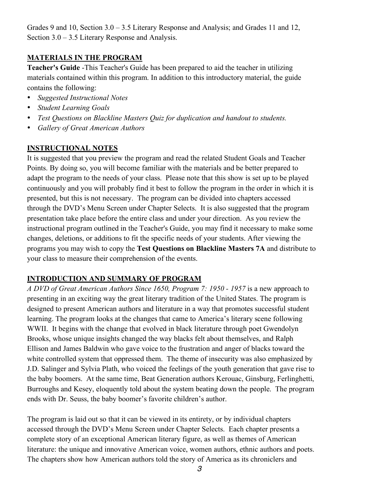Grades 9 and 10, Section 3.0 – 3.5 Literary Response and Analysis; and Grades 11 and 12, Section 3.0 – 3.5 Literary Response and Analysis.

### **MATERIALS IN THE PROGRAM**

**Teacher's Guide** -This Teacher's Guide has been prepared to aid the teacher in utilizing materials contained within this program. In addition to this introductory material, the guide contains the following:

- *Suggested Instructional Notes*
- *Student Learning Goals*
- *Test Questions on Blackline Masters Quiz for duplication and handout to students.*
- *Gallery of Great American Authors*

#### **INSTRUCTIONAL NOTES**

It is suggested that you preview the program and read the related Student Goals and Teacher Points. By doing so, you will become familiar with the materials and be better prepared to adapt the program to the needs of your class. Please note that this show is set up to be played continuously and you will probably find it best to follow the program in the order in which it is presented, but this is not necessary. The program can be divided into chapters accessed through the DVD's Menu Screen under Chapter Selects. It is also suggested that the program presentation take place before the entire class and under your direction. As you review the instructional program outlined in the Teacher's Guide, you may find it necessary to make some changes, deletions, or additions to fit the specific needs of your students. After viewing the programs you may wish to copy the **Test Questions on Blackline Masters 7A** and distribute to your class to measure their comprehension of the events.

#### **INTRODUCTION AND SUMMARY OF PROGRAM**

*A DVD of Great American Authors Since 1650, Program 7: 1950 - 1957* is a new approach to presenting in an exciting way the great literary tradition of the United States. The program is designed to present American authors and literature in a way that promotes successful student learning. The program looks at the changes that came to America's literary scene following WWII. It begins with the change that evolved in black literature through poet Gwendolyn Brooks, whose unique insights changed the way blacks felt about themselves, and Ralph Ellison and James Baldwin who gave voice to the frustration and anger of blacks toward the white controlled system that oppressed them. The theme of insecurity was also emphasized by J.D. Salinger and Sylvia Plath, who voiced the feelings of the youth generation that gave rise to the baby boomers. At the same time, Beat Generation authors Kerouac, Ginsburg, Ferlinghetti, Burroughs and Kesey, eloquently told about the system beating down the people. The program ends with Dr. Seuss, the baby boomer's favorite children's author.

The program is laid out so that it can be viewed in its entirety, or by individual chapters accessed through the DVD's Menu Screen under Chapter Selects. Each chapter presents a complete story of an exceptional American literary figure, as well as themes of American literature: the unique and innovative American voice, women authors, ethnic authors and poets. The chapters show how American authors told the story of America as its chroniclers and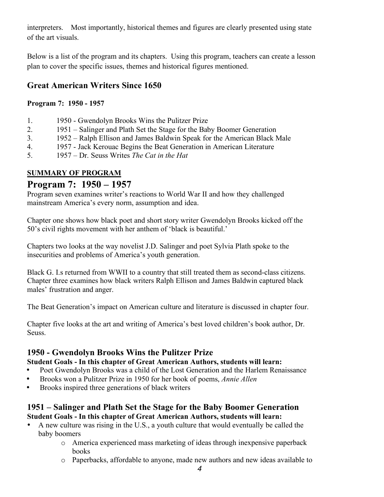interpreters. Most importantly, historical themes and figures are clearly presented using state of the art visuals.

Below is a list of the program and its chapters. Using this program, teachers can create a lesson plan to cover the specific issues, themes and historical figures mentioned.

# **Great American Writers Since 1650**

### **Program 7: 1950 - 1957**

- 1. 1950 Gwendolyn Brooks Wins the Pulitzer Prize
- 2. 1951 Salinger and Plath Set the Stage for the Baby Boomer Generation
- 3. 1952 Ralph Ellison and James Baldwin Speak for the American Black Male
- 4. 1957 Jack Kerouac Begins the Beat Generation in American Literature
- 5. 1957 Dr. Seuss Writes *The Cat in the Hat*

## **SUMMARY OF PROGRAM**

# **Program 7: 1950 – 1957**

Program seven examines writer's reactions to World War II and how they challenged mainstream America's every norm, assumption and idea.

Chapter one shows how black poet and short story writer Gwendolyn Brooks kicked off the 50's civil rights movement with her anthem of 'black is beautiful.'

Chapters two looks at the way novelist J.D. Salinger and poet Sylvia Plath spoke to the insecurities and problems of America's youth generation.

Black G. I.s returned from WWII to a country that still treated them as second-class citizens. Chapter three examines how black writers Ralph Ellison and James Baldwin captured black males' frustration and anger.

The Beat Generation's impact on American culture and literature is discussed in chapter four.

Chapter five looks at the art and writing of America's best loved children's book author, Dr. Seuss.

# **1950 - Gwendolyn Brooks Wins the Pulitzer Prize**

### **Student Goals - In this chapter of Great American Authors, students will learn:**

- Poet Gwendolyn Brooks was a child of the Lost Generation and the Harlem Renaissance
- Brooks won a Pulitzer Prize in 1950 for her book of poems, *Annie Allen*
- Brooks inspired three generations of black writers

### **1951 – Salinger and Plath Set the Stage for the Baby Boomer Generation Student Goals - In this chapter of Great American Authors, students will learn:**

- A new culture was rising in the U.S., a youth culture that would eventually be called the baby boomers
	- o America experienced mass marketing of ideas through inexpensive paperback books
	- o Paperbacks, affordable to anyone, made new authors and new ideas available to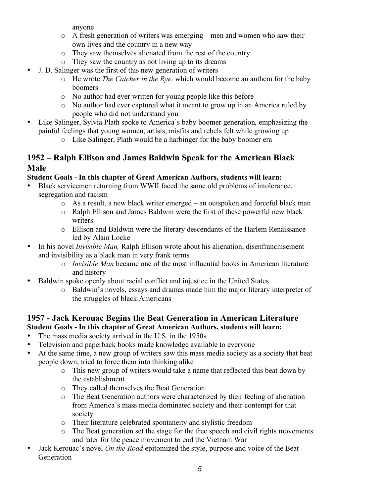anyone

- o A fresh generation of writers was emerging men and women who saw their own lives and the country in a new way
- o They saw themselves alienated from the rest of the country
- o They saw the country as not living up to its dreams
- J. D. Salinger was the first of this new generation of writers
	- o He wrote *The Catcher in the Rye,* which would become an anthem for the baby boomers
	- o No author had ever written for young people like this before
	- o No author had ever captured what it meant to grow up in an America ruled by people who did not understand you
- Like Salinger, Sylvia Plath spoke to America's baby boomer generation, emphasizing the painful feelings that young women, artists, misfits and rebels felt while growing up
	- o Like Salinger, Plath would be a harbinger for the baby boomer era

### **1952 – Ralph Ellison and James Baldwin Speak for the American Black Male**

### **Student Goals - In this chapter of Great American Authors, students will learn:**

- Black servicemen returning from WWII faced the same old problems of intolerance, segregation and racism
	- o As a result, a new black writer emerged an outspoken and forceful black man
	- o Ralph Ellison and James Baldwin were the first of these powerful new black writers
	- o Ellison and Baldwin were the literary descendants of the Harlem Renaissance led by Alain Locke
- In his novel *Invisible Man*, Ralph Ellison wrote about his alienation, disenfranchisement and invisibility as a black man in very frank terms
	- o *Invisible Man* became one of the most influential books in American literature and history
- Baldwin spoke openly about racial conflict and injustice in the United States
	- o Baldwin's novels, essays and dramas made him the major literary interpreter of the struggles of black Americans

### **1957 - Jack Kerouac Begins the Beat Generation in American Literature Student Goals - In this chapter of Great American Authors, students will learn:**

- The mass media society arrived in the U.S. in the 1950s
- Television and paperback books made knowledge available to everyone
- At the same time, a new group of writers saw this mass media society as a society that beat people down, tried to force them into thinking alike
	- o This new group of writers would take a name that reflected this beat down by the establishment
	- o They called themselves the Beat Generation
	- o The Beat Generation authors were characterized by their feeling of alienation from America's mass media dominated society and their contempt for that society
	- o Their literature celebrated spontaneity and stylistic freedom
	- o The Beat generation set the stage for the free speech and civil rights movements and later for the peace movement to end the Vietnam War
- Jack Kerouac's novel *On the Road* epitomized the style, purpose and voice of the Beat Generation